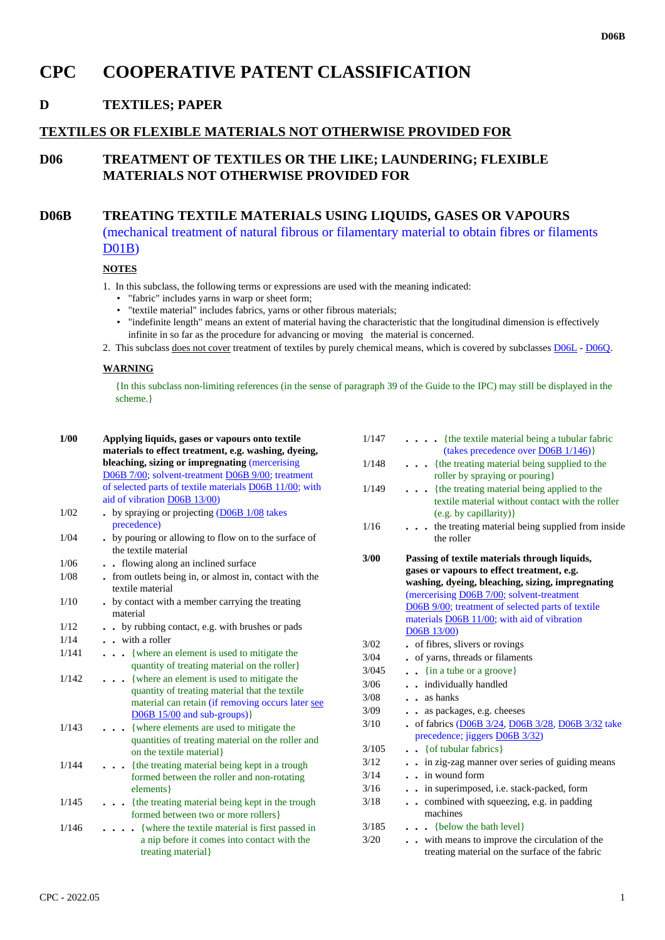# **CPC COOPERATIVE PATENT CLASSIFICATION**

# **D TEXTILES; PAPER**

#### **TEXTILES OR FLEXIBLE MATERIALS NOT OTHERWISE PROVIDED FOR**

## **D06 TREATMENT OF TEXTILES OR THE LIKE; LAUNDERING; FLEXIBLE MATERIALS NOT OTHERWISE PROVIDED FOR**

## **D06B TREATING TEXTILE MATERIALS USING LIQUIDS, GASES OR VAPOURS**

(mechanical treatment of natural fibrous or filamentary material to obtain fibres or filaments D01B)

#### **NOTES**

- 1. In this subclass, the following terms or expressions are used with the meaning indicated:
	- "fabric" includes yarns in warp or sheet form;
	- "textile material" includes fabrics, yarns or other fibrous materials;
	- "indefinite length" means an extent of material having the characteristic that the longitudinal dimension is effectively infinite in so far as the procedure for advancing or moving the material is concerned.
- 2. This subclass does not cover treatment of textiles by purely chemical means, which is covered by subclasses D06L D06Q.

#### **WARNING**

{In this subclass non-limiting references (in the sense of paragraph 39 of the Guide to the IPC) may still be displayed in the scheme.}

| 1/00  | Applying liquids, gases or vapours onto textile<br>materials to effect treatment, e.g. washing, dyeing,<br>bleaching, sizing or impregnating (mercerising<br>D06B 7/00; solvent-treatment D06B 9/00; treatment<br>of selected parts of textile materials D06B 11/00; with<br>aid of vibration D06B 13/00) |
|-------|-----------------------------------------------------------------------------------------------------------------------------------------------------------------------------------------------------------------------------------------------------------------------------------------------------------|
| 1/02  | by spraying or projecting $(D06B1/08)$ takes                                                                                                                                                                                                                                                              |
|       | precedence)                                                                                                                                                                                                                                                                                               |
| 1/04  | . by pouring or allowing to flow on to the surface of<br>the textile material                                                                                                                                                                                                                             |
| 1/06  | flowing along an inclined surface<br>$\ddot{\phantom{a}}$                                                                                                                                                                                                                                                 |
| 1/08  | - from outlets being in, or almost in, contact with the<br>textile material                                                                                                                                                                                                                               |
| 1/10  | . by contact with a member carrying the treating<br>material                                                                                                                                                                                                                                              |
| 1/12  | by rubbing contact, e.g. with brushes or pads                                                                                                                                                                                                                                                             |
| 1/14  | $\frac{1}{2}$ with a roller                                                                                                                                                                                                                                                                               |
| 1/141 | where an element is used to mitigate the<br>.<br>quantity of treating material on the roller                                                                                                                                                                                                              |
| 1/142 | {where an element is used to mitigate the<br>quantity of treating material that the textile<br>material can retain (if removing occurs later see<br>$D06B$ 15/00 and sub-groups)                                                                                                                          |
| 1/143 | {where elements are used to mitigate the<br>quantities of treating material on the roller and<br>on the textile material}                                                                                                                                                                                 |
| 1/144 | {the treating material being kept in a trough<br>formed between the roller and non-rotating<br>elements }                                                                                                                                                                                                 |
| 1/145 | {the treating material being kept in the trough<br>formed between two or more rollers }                                                                                                                                                                                                                   |
| 1/146 | {where the textile material is first passed in<br>$\sim$ $\sim$<br>a nip before it comes into contact with the<br>treating material                                                                                                                                                                       |

| 1/147 | $\cdots$ (the textile material being a tubular fabric<br>(takes precedence over $D(6B 1/146)$ )                                                                                                                                                                                                                 |
|-------|-----------------------------------------------------------------------------------------------------------------------------------------------------------------------------------------------------------------------------------------------------------------------------------------------------------------|
| 1/148 | {the treating material being supplied to the<br>roller by spraying or pouring}                                                                                                                                                                                                                                  |
| 1/149 | {the treating material being applied to the<br>.<br>textile material without contact with the roller<br>(e.g. by capillarity)}                                                                                                                                                                                  |
| 1/16  | the treating material being supplied from inside<br>the roller                                                                                                                                                                                                                                                  |
| 3/00  | Passing of textile materials through liquids,<br>gases or vapours to effect treatment, e.g.<br>washing, dyeing, bleaching, sizing, impregnating<br>(mercerising D06B 7/00; solvent-treatment<br>D06B 9/00; treatment of selected parts of textile<br>materials D06B 11/00; with aid of vibration<br>D06B 13/00) |
| 3/02  | of fibres, slivers or rovings                                                                                                                                                                                                                                                                                   |
| 3/04  | of yarns, threads or filaments                                                                                                                                                                                                                                                                                  |
| 3/045 | $\frac{1}{2}$ {in a tube or a groove}                                                                                                                                                                                                                                                                           |
| 3/06  | . . individually handled                                                                                                                                                                                                                                                                                        |
| 3/08  | $\frac{1}{2}$ as hanks                                                                                                                                                                                                                                                                                          |
| 3/09  | as packages, e.g. cheeses<br>$\ddot{\phantom{a}}$                                                                                                                                                                                                                                                               |
| 3/10  | of fabrics (D06B 3/24, D06B 3/28, D06B 3/32 take<br>precedence; jiggers D06B 3/32)                                                                                                                                                                                                                              |
| 3/105 | $\bullet$ { of tubular fabrics }                                                                                                                                                                                                                                                                                |
| 3/12  | . in zig-zag manner over series of guiding means                                                                                                                                                                                                                                                                |
| 3/14  | . in wound form                                                                                                                                                                                                                                                                                                 |
| 3/16  | . in superimposed, i.e. stack-packed, form                                                                                                                                                                                                                                                                      |
| 3/18  | combined with squeezing, e.g. in padding<br>machines                                                                                                                                                                                                                                                            |
| 3/185 | {below the bath level}                                                                                                                                                                                                                                                                                          |
| 3/20  | with means to improve the circulation of the<br>treating material on the surface of the fabric                                                                                                                                                                                                                  |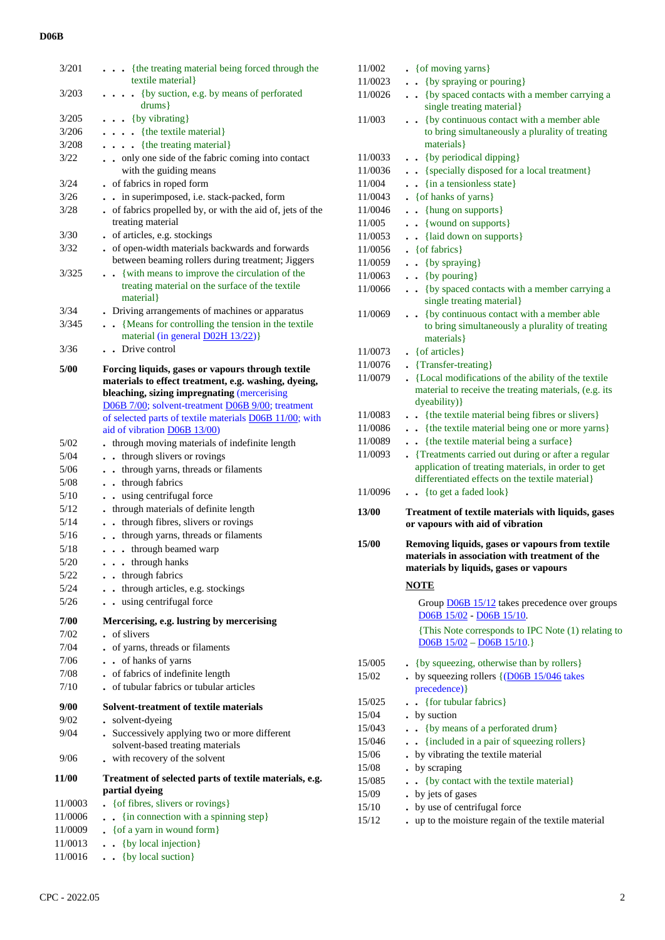## **D06B**

| 3/201   | {the treating material being forced through the                                                                                        |
|---------|----------------------------------------------------------------------------------------------------------------------------------------|
|         | textile material}                                                                                                                      |
| 3/203   | {by suction, e.g. by means of perforated<br>$\ddot{\phantom{0}}$<br>$drums$ }                                                          |
| 3/205   | $\bullet \bullet \{$ by vibrating $\}$                                                                                                 |
| 3/206   | $\ldots$ {the textile material}                                                                                                        |
| 3/208   | $\ldots$ {the treating material}                                                                                                       |
| 3/22    | only one side of the fabric coming into contact                                                                                        |
|         | with the guiding means                                                                                                                 |
| 3/24    | . of fabrics in roped form                                                                                                             |
| 3/26    | . . in superimposed, i.e. stack-packed, form                                                                                           |
| 3/28    | of fabrics propelled by, or with the aid of, jets of the<br>treating material                                                          |
| 3/30    | of articles, e.g. stockings                                                                                                            |
| 3/32    | of open-width materials backwards and forwards<br>between beaming rollers during treatment; Jiggers                                    |
| 3/325   | {with means to improve the circulation of the<br>$\ddot{\phantom{0}}$<br>treating material on the surface of the textile<br>material } |
| 3/34    | . Driving arrangements of machines or apparatus                                                                                        |
| 3/345   | • {Means for controlling the tension in the textile                                                                                    |
|         | material (in general D02H 13/22)}                                                                                                      |
| 3/36    | Drive control<br>$\sim$                                                                                                                |
| 5/00    | Forcing liquids, gases or vapours through textile                                                                                      |
|         | materials to effect treatment, e.g. washing, dyeing,                                                                                   |
|         | bleaching, sizing impregnating (mercerising                                                                                            |
|         | D06B 7/00; solvent-treatment D06B 9/00; treatment                                                                                      |
|         | of selected parts of textile materials D06B 11/00; with                                                                                |
|         | aid of vibration D06B 13/00)                                                                                                           |
| 5/02    | . through moving materials of indefinite length                                                                                        |
| 5/04    | . through slivers or rovings                                                                                                           |
| 5/06    | . through yarns, threads or filaments                                                                                                  |
| 5/08    | . . through fabrics                                                                                                                    |
| 5/10    | . using centrifugal force                                                                                                              |
| 5/12    | through materials of definite length                                                                                                   |
| 5/14    | . through fibres, slivers or rovings                                                                                                   |
| 5/16    | . through yarns, threads or filaments                                                                                                  |
| 5/18    | . through beamed warp<br>$\bullet$                                                                                                     |
| 5/20    | $\cdots$ through hanks                                                                                                                 |
| 5/22    | through fabrics                                                                                                                        |
| 5/24    | through articles, e.g. stockings<br>$\ddot{\phantom{a}}$                                                                               |
| 5/26    | . . using centrifugal force                                                                                                            |
| 7/00    | Mercerising, e.g. lustring by mercerising                                                                                              |
| 7/02    | of slivers                                                                                                                             |
| 7/04    | of yarns, threads or filaments<br>$\bullet$                                                                                            |
| 7/06    | . . of hanks of yarns                                                                                                                  |
| 7/08    | of fabrics of indefinite length                                                                                                        |
| 7/10    | of tubular fabrics or tubular articles                                                                                                 |
| 9/00    | Solvent-treatment of textile materials                                                                                                 |
| 9/02    | solvent-dyeing                                                                                                                         |
| 9/04    | . Successively applying two or more different<br>solvent-based treating materials                                                      |
| 9/06    | with recovery of the solvent                                                                                                           |
| 11/00   | Treatment of selected parts of textile materials, e.g.                                                                                 |
|         | partial dyeing                                                                                                                         |
| 11/0003 | {of fibres, slivers or rovings}                                                                                                        |
| 11/0006 | {in connection with a spinning step}<br>$\ddot{\phantom{a}}$                                                                           |
| 11/0009 | $\bullet$ { of a yarn in wound form }                                                                                                  |
| 11/0013 | {by local injection}<br>$\ddot{\phantom{0}}$                                                                                           |
| 11/0016 | {by local suction}<br>$\ddot{\phantom{0}}$                                                                                             |

| 11/002  | • { of moving yarns }                                                                             |
|---------|---------------------------------------------------------------------------------------------------|
| 11/0023 | . . {by spraying or pouring}                                                                      |
| 11/0026 | . . {by spaced contacts with a member carrying a                                                  |
|         | single treating material}                                                                         |
| 11/003  | {by continuous contact with a member able<br>$\ddot{\phantom{0}}$                                 |
|         | to bring simultaneously a plurality of treating                                                   |
|         | materials }                                                                                       |
| 11/0033 | . . {by periodical dipping}                                                                       |
| 11/0036 | . . {specially disposed for a local treatment}                                                    |
| 11/004  | $\frac{1}{2}$ {in a tensionless state}                                                            |
| 11/0043 | • { of hanks of yarns }                                                                           |
| 11/0046 | $\bullet$ $\bullet$ {hung on supports}                                                            |
| 11/005  | . . {wound on supports}                                                                           |
| 11/0053 | {laid down on supports}                                                                           |
| 11/0056 | $\bullet$ { of fabrics }                                                                          |
| 11/0059 | $\bullet$ { by spraying }                                                                         |
| 11/0063 | $\bullet \bullet \{$ by pouring }                                                                 |
| 11/0066 | {by spaced contacts with a member carrying a<br>$\ddot{\phantom{0}}$<br>single treating material} |
| 11/0069 | {by continuous contact with a member able<br>$\ddot{\phantom{0}}$                                 |
|         | to bring simultaneously a plurality of treating                                                   |
|         | materials }                                                                                       |
| 11/0073 | $\bullet$ { of articles }                                                                         |
| 11/0076 | $\blacksquare$ {Transfer-treating}                                                                |
| 11/0079 | • {Local modifications of the ability of the textile                                              |
|         | material to receive the treating materials, (e.g. its<br>dyeability) }                            |
| 11/0083 | {the textile material being fibres or slivers}                                                    |
| 11/0086 | {the textile material being one or more yarns}                                                    |
| 11/0089 | {the textile material being a surface}<br>$\ddot{\phantom{0}}$                                    |
| 11/0093 | • {Treatments carried out during or after a regular                                               |
|         | application of treating materials, in order to get                                                |
|         | differentiated effects on the textile material}                                                   |
| 11/0096 | . . {to get a faded look}                                                                         |
| 13/00   | Treatment of textile materials with liquids, gases                                                |
|         | or vapours with aid of vibration                                                                  |
| 15/00   | Removing liquids, gases or vapours from textile                                                   |
|         | materials in association with treatment of the                                                    |
|         | materials by liquids, gases or vapours                                                            |
|         | <b>NOTE</b>                                                                                       |
|         | Group <b>D06B</b> 15/12 takes precedence over groups                                              |
|         | D06B 15/02 - D06B 15/10.                                                                          |
|         | {This Note corresponds to IPC Note (1) relating to                                                |
|         | $D06B$ $15/02 - D06B$ $15/10.$                                                                    |
| 15/005  | • {by squeezing, otherwise than by rollers}                                                       |
| 15/02   | by squeezing rollers $\{ (D06B 15/046 \text{ takes} )\}$                                          |
|         | precedence) }                                                                                     |
| 15/025  | {for tubular fabrics}                                                                             |
| 15/04   | . by suction                                                                                      |
| 15/043  | {by means of a perforated drum}                                                                   |
| 15/046  | . . {included in a pair of squeezing rollers}                                                     |
| 15/06   | . by vibrating the textile material                                                               |
| 15/08   | • by scraping                                                                                     |
| 15/085  | {by contact with the textile material}<br>$\ddot{\phantom{0}}$                                    |
| 15/09   | . by jets of gases                                                                                |
| 15/10   | . by use of centrifugal force                                                                     |
| 15/12   | . up to the moisture regain of the textile material                                               |